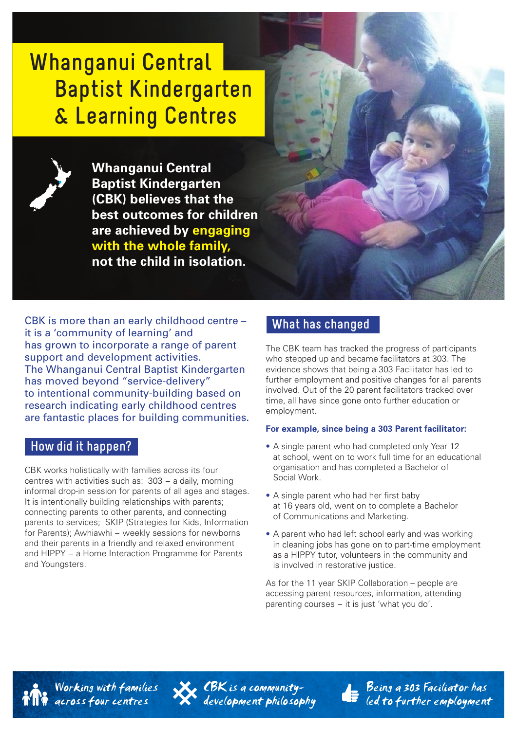# **Whanganui Central Baptist Kindergarten & Learning Centres**

**Whanganui Central Baptist Kindergarten (CBK) believes that the best outcomes for children are achieved by engaging with the whole family, not the child in isolation.** 

CBK is more than an early childhood centre – it is a 'community of learning' and has grown to incorporate a range of parent support and development activities. The Whanganui Central Baptist Kindergarten has moved beyond "service-delivery" to intentional community-building based on research indicating early childhood centres are fantastic places for building communities.

## **How did it happen?**

CBK works holistically with families across its four centres with activities such as: 303 − a daily, morning informal drop-in session for parents of all ages and stages. It is intentionally building relationships with parents: connecting parents to other parents, and connecting parents to services; SKIP (Strategies for Kids, Information for Parents); Awhiawhi − weekly sessions for newborns and their parents in a friendly and relaxed environment and HIPPY – a Home Interaction Programme for Parents and Youngsters.

# **What has changed**

The CBK team has tracked the progress of participants who stepped up and became facilitators at 303. The evidence shows that being a 303 Facilitator has led to further employment and positive changes for all parents involved. Out of the 20 parent facilitators tracked over time, all have since gone onto further education or employment.

#### **For example, since being a 303 Parent facilitator:**

- A single parent who had completed only Year 12 at school, went on to work full time for an educational organisation and has completed a Bachelor of Social Work.
- A single parent who had her first baby at 16 years old, went on to complete a Bachelor of Communications and Marketing.
- A parent who had left school early and was working in cleaning jobs has gone on to part-time employment as a HIPPY tutor, volunteers in the community and is involved in restorative justice.

As for the 11 year SKIP Collaboration – people are accessing parent resources, information, attending parenting courses – it is just 'what you do'.



Working with families across four centres



CORES a community development philosophy



Being a 303 Faciliator has led to further employment